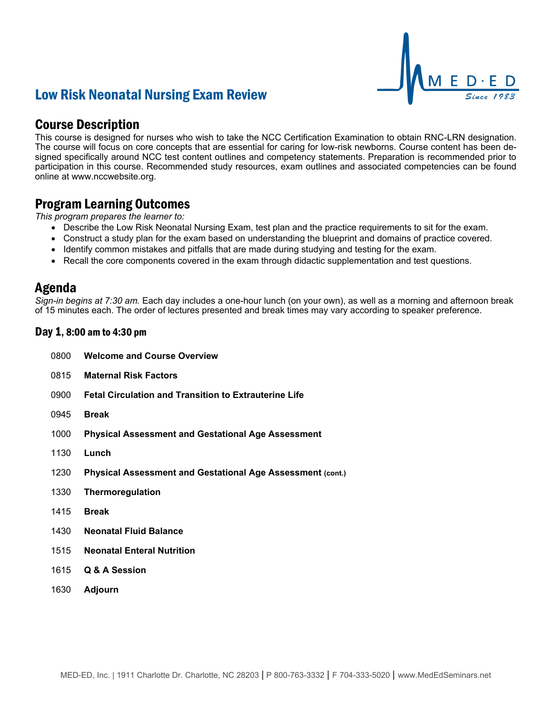## Low Risk Neonatal Nursing Exam Review

### Course Description

This course is designed for nurses who wish to take the NCC Certification Examination to obtain RNC-LRN designation. The course will focus on core concepts that are essential for caring for low-risk newborns. Course content has been designed specifically around NCC test content outlines and competency statements. Preparation is recommended prior to participation in this course. Recommended study resources, exam outlines and associated competencies can be found online at www.nccwebsite.org.

M E D · E D

### Program Learning Outcomes

*This program prepares the learner to:*

- Describe the Low Risk Neonatal Nursing Exam, test plan and the practice requirements to sit for the exam.
- Construct a study plan for the exam based on understanding the blueprint and domains of practice covered.
- Identify common mistakes and pitfalls that are made during studying and testing for the exam.
- Recall the core components covered in the exam through didactic supplementation and test questions.

### Agenda

*Sign-in begins at 7:30 am.* Each day includes a one-hour lunch (on your own), as well as a morning and afternoon break of 15 minutes each. The order of lectures presented and break times may vary according to speaker preference.

#### Day 1, 8:00 am to 4:30 pm

- 0800 **Welcome and Course Overview**
- 0815 **Maternal Risk Factors**
- 0900 **Fetal Circulation and Transition to Extrauterine Life**
- 0945 **Break**
- 1000 **Physical Assessment and Gestational Age Assessment**
- 1130 **Lunch**
- 1230 **Physical Assessment and Gestational Age Assessment (cont.)**
- 1330 **Thermoregulation**
- 1415 **Break**
- 1430 **Neonatal Fluid Balance**
- 1515 **Neonatal Enteral Nutrition**
- 1615 **Q & A Session**
- 1630 **Adjourn**